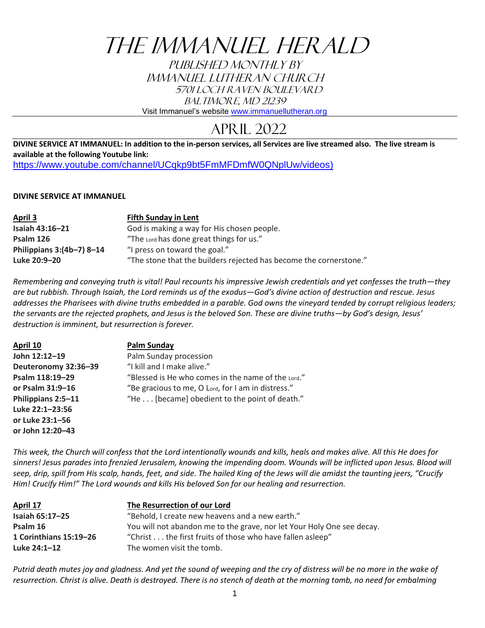# THE IMMANUEL HERALD

PUBLISHED MONTHLY BY IMMANUEL LUTHERAN CHURCH 5701 Loch Raven Boulevard BALTIMORE, MD 21239

Visit Immanuel's website [www.immanuellutheran.org](http://www.immanuellutheran.org/)

# April 2022

**DIVINE SERVICE AT IMMANUEL: In addition to the in-person services, all Services are live streamed also. The live stream is available at the following Youtube link:**  [https://www.youtube.com/channel/UCqkp9bt5FmMFDmfW0QNplUw/videos\)](https://www.youtube.com/channel/UCqkp9bt5FmMFDmfW0QNplUw/videos)

# **DIVINE SERVICE AT IMMANUEL**

| April 3                     | <b>Fifth Sunday in Lent</b>                                        |
|-----------------------------|--------------------------------------------------------------------|
| Isaiah 43:16-21             | God is making a way for His chosen people.                         |
| Psalm 126                   | "The Lord has done great things for us."                           |
| Philippians $3:(4b-7)$ 8-14 | "I press on toward the goal."                                      |
| Luke 20:9-20                | "The stone that the builders rejected has become the cornerstone." |

*Remembering and conveying truth is vital! Paul recounts his impressive Jewish credentials and yet confesses the truth—they are but rubbish. Through Isaiah, the Lord reminds us of the exodus—God's divine action of destruction and rescue. Jesus addresses the Pharisees with divine truths embedded in a parable. God owns the vineyard tended by corrupt religious leaders; the servants are the rejected prophets, and Jesus is the beloved Son. These are divine truths—by God's design, Jesus' destruction is imminent, but resurrection is forever.*

| April 10             | <b>Palm Sunday</b>                                 |
|----------------------|----------------------------------------------------|
| John 12:12-19        | Palm Sunday procession                             |
| Deuteronomy 32:36-39 | "I kill and I make alive."                         |
| Psalm 118:19-29      | "Blessed is He who comes in the name of the Lord." |
| or Psalm 31:9-16     | "Be gracious to me, O Lord, for I am in distress." |
| Philippians 2:5-11   | "He [became] obedient to the point of death."      |
| Luke 22:1-23:56      |                                                    |
| or Luke 23:1-56      |                                                    |
| or John 12:20-43     |                                                    |

*This week, the Church will confess that the Lord intentionally wounds and kills, heals and makes alive. All this He does for sinners! Jesus parades into frenzied Jerusalem, knowing the impending doom. Wounds will be inflicted upon Jesus. Blood will seep, drip, spill from His scalp, hands, feet, and side. The hailed King of the Jews will die amidst the taunting jeers, "Crucify Him! Crucify Him!" The Lord wounds and kills His beloved Son for our healing and resurrection.*

| April 17               | The Resurrection of our Lord                                           |
|------------------------|------------------------------------------------------------------------|
| Isaiah 65:17-25        | "Behold, I create new heavens and a new earth."                        |
| Psalm 16               | You will not abandon me to the grave, nor let Your Holy One see decay. |
| 1 Corinthians 15:19-26 | "Christ the first fruits of those who have fallen asleep"              |
| Luke 24:1-12           | The women visit the tomb.                                              |

*Putrid death mutes joy and gladness. And yet the sound of weeping and the cry of distress will be no more in the wake of resurrection. Christ is alive. Death is destroyed. There is no stench of death at the morning tomb, no need for embalming*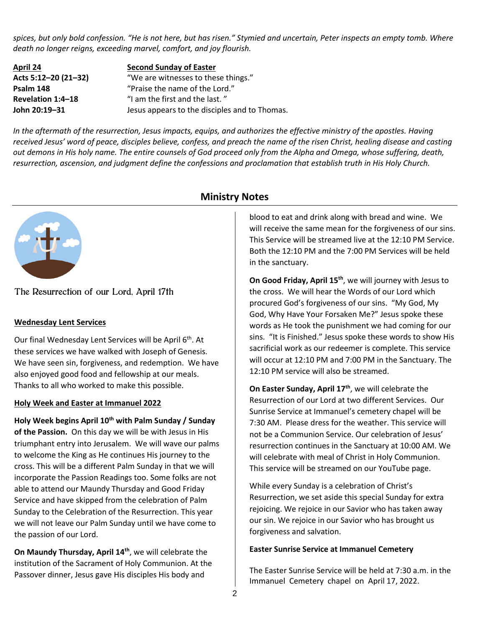*spices, but only bold confession. "He is not here, but has risen." Stymied and uncertain, Peter inspects an empty tomb. Where death no longer reigns, exceeding marvel, comfort, and joy flourish.* 

**April 24 Second Sunday of Easter Acts 5:12–20 (21–32)** "We are witnesses to these things." **Psalm 148** "Praise the name of the Lord." **Revelation 1:4–18** "I am the first and the last. " **John 20:19–31** Jesus appears to the disciples and to Thomas.

*In the aftermath of the resurrection, Jesus impacts, equips, and authorizes the effective ministry of the apostles. Having received Jesus' word of peace, disciples believe, confess, and preach the name of the risen Christ, healing disease and casting out demons in His holy name. The entire counsels of God proceed only from the Alpha and Omega, whose suffering, death, resurrection, ascension, and judgment define the confessions and proclamation that establish truth in His Holy Church.*



The Resurrection of our Lord, April 17th

# **Wednesday Lent Services**

Our final Wednesday Lent Services will be April 6<sup>th</sup>. At these services we have walked with Joseph of Genesis. We have seen sin, forgiveness, and redemption. We have also enjoyed good food and fellowship at our meals. Thanks to all who worked to make this possible.

### **Holy Week and Easter at Immanuel 2022**

**Holy Week begins April 10th with Palm Sunday / Sunday of the Passion.** On this day we will be with Jesus in His triumphant entry into Jerusalem. We will wave our palms to welcome the King as He continues His journey to the cross. This will be a different Palm Sunday in that we will incorporate the Passion Readings too. Some folks are not able to attend our Maundy Thursday and Good Friday Service and have skipped from the celebration of Palm Sunday to the Celebration of the Resurrection. This year we will not leave our Palm Sunday until we have come to the passion of our Lord.

**On Maundy Thursday, April 14th**, we will celebrate the institution of the Sacrament of Holy Communion. At the Passover dinner, Jesus gave His disciples His body and

# **Ministry Notes**

blood to eat and drink along with bread and wine. We will receive the same mean for the forgiveness of our sins. This Service will be streamed live at the 12:10 PM Service. Both the 12:10 PM and the 7:00 PM Services will be held in the sanctuary.

**On Good Friday, April 15th**, we will journey with Jesus to the cross. We will hear the Words of our Lord which procured God's forgiveness of our sins. "My God, My God, Why Have Your Forsaken Me?" Jesus spoke these words as He took the punishment we had coming for our sins. "It is Finished." Jesus spoke these words to show His sacrificial work as our redeemer is complete. This service will occur at 12:10 PM and 7:00 PM in the Sanctuary. The 12:10 PM service will also be streamed.

**On Easter Sunday, April 17th**, we will celebrate the Resurrection of our Lord at two different Services. Our Sunrise Service at Immanuel's cemetery chapel will be 7:30 AM. Please dress for the weather. This service will not be a Communion Service. Our celebration of Jesus' resurrection continues in the Sanctuary at 10:00 AM. We will celebrate with meal of Christ in Holy Communion. This service will be streamed on our YouTube page.

While every Sunday is a celebration of Christ's Resurrection, we set aside this special Sunday for extra rejoicing. We rejoice in our Savior who has taken away our sin. We rejoice in our Savior who has brought us forgiveness and salvation.

# **Easter Sunrise Service at Immanuel Cemetery**

The Easter Sunrise Service will be held at 7:30 a.m. in the Immanuel Cemetery chapel on April 17, 2022.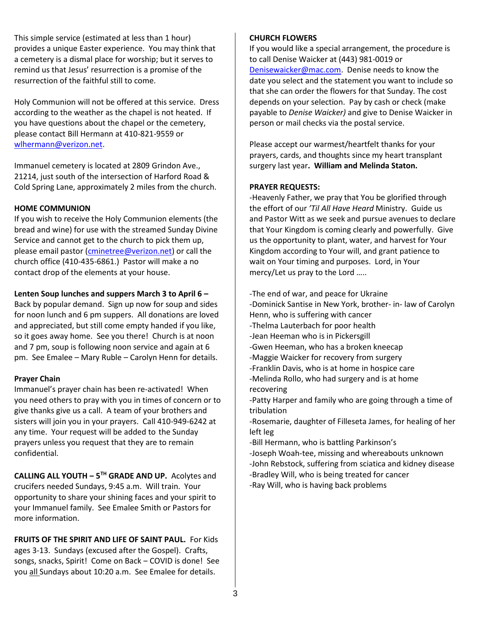This simple service (estimated at less than 1 hour) provides a unique Easter experience. You may think that a cemetery is a dismal place for worship; but it serves to remind us that Jesus' resurrection is a promise of the resurrection of the faithful still to come.

Holy Communion will not be offered at this service. Dress according to the weather as the chapel is not heated. If you have questions about the chapel or the cemetery, please contact Bill Hermann at 410-821-9559 or [wlhermann@verizon.net.](mailto:wlhermann@verizon.net)

Immanuel cemetery is located at 2809 Grindon Ave., 21214, just south of the intersection of Harford Road & Cold Spring Lane, approximately 2 miles from the church.

# **HOME COMMUNION**

If you wish to receive the Holy Communion elements (the bread and wine) for use with the streamed Sunday Divine Service and cannot get to the church to pick them up, please email pastor [\(cminetree@verizon.net\)](mailto:cminetree@verizon.net) or call the church office (410-435-6861.) Pastor will make a no contact drop of the elements at your house.

# **Lenten Soup lunches and suppers March 3 to April 6 –**

Back by popular demand. Sign up now for soup and sides for noon lunch and 6 pm suppers. All donations are loved and appreciated, but still come empty handed if you like, so it goes away home. See you there! Church is at noon and 7 pm, soup is following noon service and again at 6 pm. See Emalee – Mary Ruble – Carolyn Henn for details.

### **Prayer Chain**

Immanuel's prayer chain has been re-activated! When you need others to pray with you in times of concern or to give thanks give us a call. A team of your brothers and sisters will join you in your prayers. Call 410-949-6242 at any time. Your request will be added to the Sunday prayers unless you request that they are to remain confidential.

**CALLING ALL YOUTH ‒ 5TH GRADE AND UP.** Acolytes and crucifers needed Sundays, 9:45 a.m. Will train. Your opportunity to share your shining faces and your spirit to your Immanuel family. See Emalee Smith or Pastors for more information.

**FRUITS OF THE SPIRIT AND LIFE OF SAINT PAUL.** For Kids ages 3-13. Sundays (excused after the Gospel). Crafts, songs, snacks, Spirit! Come on Back - COVID is done! See you all Sundays about 10:20 a.m. See Emalee for details.

# **CHURCH FLOWERS**

If you would like a special arrangement, the procedure is to call Denise Waicker at (443) 981-0019 or [Denisewaicker@mac.com.](mailto:Denisewaicker@mac.com) Denise needs to know the date you select and the statement you want to include so that she can order the flowers for that Sunday. The cost depends on your selection. Pay by cash or check (make payable to *Denise Waicker)* and give to Denise Waicker in person or mail checks via the postal service.

Please accept our warmest/heartfelt thanks for your prayers, cards, and thoughts since my heart transplant surgery last year**. William and Melinda Staton.**

# **PRAYER REQUESTS:**

-Heavenly Father, we pray that You be glorified through the effort of our *'Til All Have Heard* Ministry. Guide us and Pastor Witt as we seek and pursue avenues to declare that Your Kingdom is coming clearly and powerfully. Give us the opportunity to plant, water, and harvest for Your Kingdom according to Your will, and grant patience to wait on Your timing and purposes. Lord, in Your mercy/Let us pray to the Lord …..

-The end of war, and peace for Ukraine

- -Dominick Santise in New York, brother- in- law of Carolyn Henn, who is suffering with cancer
- -Thelma Lauterbach for poor health
- -Jean Heeman who is in Pickersgill
- -Gwen Heeman, who has a broken kneecap
- -Maggie Waicker for recovery from surgery
- -Franklin Davis, who is at home in hospice care
- -Melinda Rollo, who had surgery and is at home recovering

-Patty Harper and family who are going through a time of tribulation

-Rosemarie, daughter of Filleseta James, for healing of her left leg

- -Bill Hermann, who is battling Parkinson's
- -Joseph Woah-tee, missing and whereabouts unknown -John Rebstock, suffering from sciatica and kidney disease
- -Bradley Will, who is being treated for cancer

-Ray Will, who is having back problems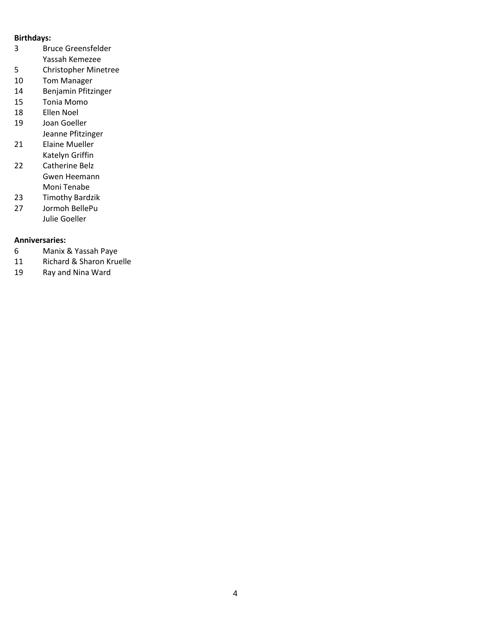### **Birthdays:**

- Bruce Greensfelder Yassah Kemezee
- Christopher Minetree
- Tom Manager
- Benjamin Pfitzinger
- Tonia Momo
- Ellen Noel
- Joan Goeller Jeanne Pfitzinger
- Elaine Mueller Katelyn Griffin
- Catherine Belz Gwen Heemann Moni Tenabe
- Timothy Bardzik
- Jormoh BellePu Julie Goeller

# **Anniversaries:**

- Manix & Yassah Paye
- Richard & Sharon Kruelle
- Ray and Nina Ward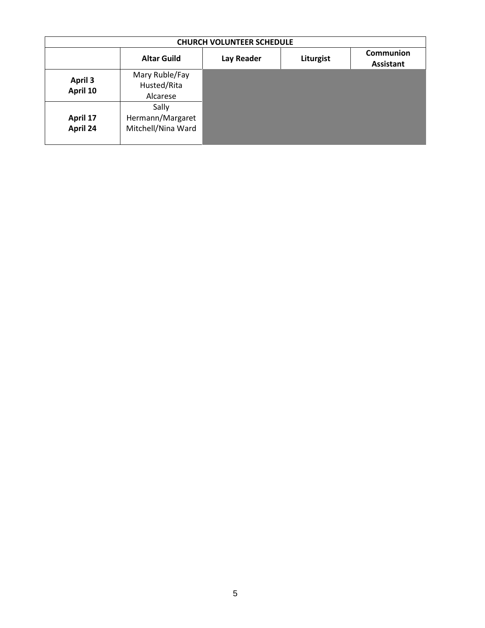| <b>CHURCH VOLUNTEER SCHEDULE</b> |                                                 |                   |           |                                      |  |  |
|----------------------------------|-------------------------------------------------|-------------------|-----------|--------------------------------------|--|--|
|                                  | <b>Altar Guild</b>                              | <b>Lay Reader</b> | Liturgist | <b>Communion</b><br><b>Assistant</b> |  |  |
| <b>April 3</b><br>April 10       | Mary Ruble/Fay<br>Husted/Rita<br>Alcarese       |                   |           |                                      |  |  |
| April 17<br>April 24             | Sally<br>Hermann/Margaret<br>Mitchell/Nina Ward |                   |           |                                      |  |  |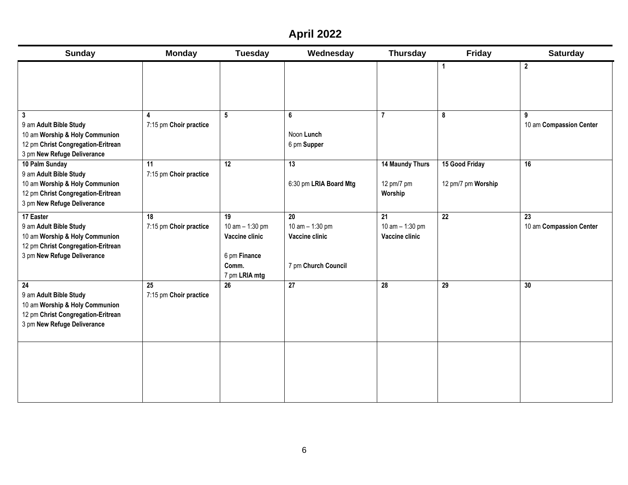# **April 2022**

| <b>Sunday</b>                                                                                                                                            | <b>Monday</b>                              | <b>Tuesday</b>                                                                      | Wednesday                                                      | <b>Thursday</b>                          | Friday                               | <b>Saturday</b>               |
|----------------------------------------------------------------------------------------------------------------------------------------------------------|--------------------------------------------|-------------------------------------------------------------------------------------|----------------------------------------------------------------|------------------------------------------|--------------------------------------|-------------------------------|
|                                                                                                                                                          |                                            |                                                                                     |                                                                |                                          | $\mathbf{1}$                         | $\boldsymbol{2}$              |
| $\overline{\mathbf{3}}$<br>9 am Adult Bible Study<br>10 am Worship & Holy Communion<br>12 pm Christ Congregation-Eritrean<br>3 pm New Refuge Deliverance | $\blacktriangle$<br>7:15 pm Choir practice | $5\phantom{.0}$                                                                     | 6<br>Noon Lunch<br>6 pm Supper                                 | $\overline{7}$                           | 8                                    | 9<br>10 am Compassion Center  |
| 10 Palm Sunday<br>9 am Adult Bible Study<br>10 am Worship & Holy Communion<br>12 pm Christ Congregation-Eritrean<br>3 pm New Refuge Deliverance          | 11<br>7:15 pm Choir practice               | $\overline{12}$                                                                     | $\overline{13}$<br>6:30 pm LRIA Board Mtg                      | 14 Maundy Thurs<br>12 pm/7 pm<br>Worship | 15 Good Friday<br>12 pm/7 pm Worship | 16                            |
| 17 Easter<br>9 am Adult Bible Study<br>10 am Worship & Holy Communion<br>12 pm Christ Congregation-Eritrean<br>3 pm New Refuge Deliverance               | 18<br>7:15 pm Choir practice               | 19<br>10 am $-$ 1:30 pm<br>Vaccine clinic<br>6 pm Finance<br>Comm.<br>7 pm LRIA mtg | 20<br>10 am - 1:30 pm<br>Vaccine clinic<br>7 pm Church Council | 21<br>10 am - 1:30 pm<br>Vaccine clinic  | $\overline{22}$                      | 23<br>10 am Compassion Center |
| 24<br>9 am Adult Bible Study<br>10 am Worship & Holy Communion<br>12 pm Christ Congregation-Eritrean<br>3 pm New Refuge Deliverance                      | 25<br>7:15 pm Choir practice               | 26                                                                                  | $\overline{27}$                                                | 28                                       | 29                                   | 30                            |
|                                                                                                                                                          |                                            |                                                                                     |                                                                |                                          |                                      |                               |